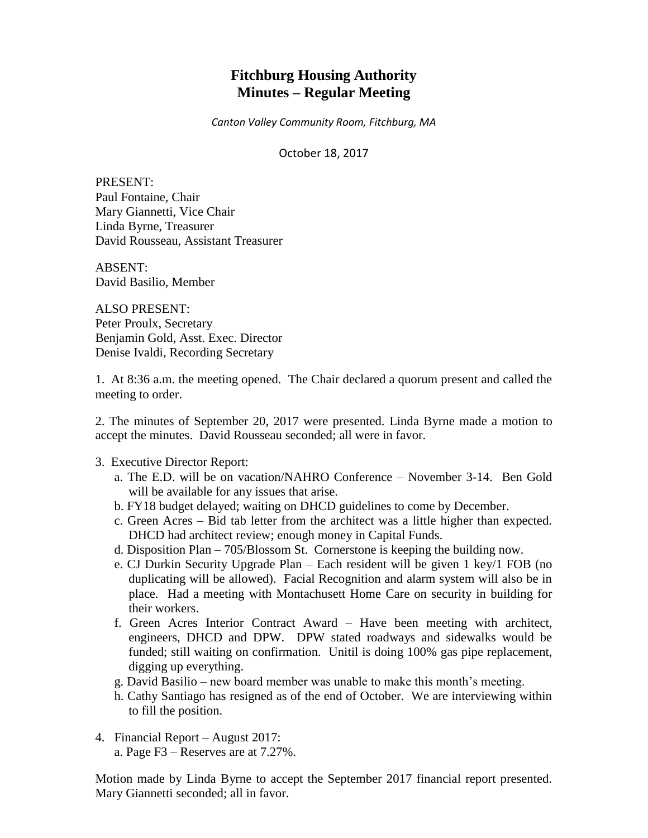# **Fitchburg Housing Authority Minutes – Regular Meeting**

*Canton Valley Community Room, Fitchburg, MA*

October 18, 2017

PRESENT: Paul Fontaine, Chair Mary Giannetti, Vice Chair Linda Byrne, Treasurer David Rousseau, Assistant Treasurer

ABSENT: David Basilio, Member

ALSO PRESENT: Peter Proulx, Secretary Benjamin Gold, Asst. Exec. Director Denise Ivaldi, Recording Secretary

1. At 8:36 a.m. the meeting opened. The Chair declared a quorum present and called the meeting to order.

2. The minutes of September 20, 2017 were presented. Linda Byrne made a motion to accept the minutes. David Rousseau seconded; all were in favor.

#### 3. Executive Director Report:

- a. The E.D. will be on vacation/NAHRO Conference November 3-14. Ben Gold will be available for any issues that arise.
- b. FY18 budget delayed; waiting on DHCD guidelines to come by December.
- c. Green Acres Bid tab letter from the architect was a little higher than expected. DHCD had architect review; enough money in Capital Funds.
- d. Disposition Plan 705/Blossom St. Cornerstone is keeping the building now.
- e. CJ Durkin Security Upgrade Plan Each resident will be given 1 key/1 FOB (no duplicating will be allowed). Facial Recognition and alarm system will also be in place. Had a meeting with Montachusett Home Care on security in building for their workers.
- f. Green Acres Interior Contract Award Have been meeting with architect, engineers, DHCD and DPW. DPW stated roadways and sidewalks would be funded; still waiting on confirmation. Unitil is doing 100% gas pipe replacement, digging up everything.
- g. David Basilio new board member was unable to make this month's meeting.
- h. Cathy Santiago has resigned as of the end of October. We are interviewing within to fill the position.
- 4. Financial Report August 2017:
	- a. Page F3 Reserves are at 7.27%.

Motion made by Linda Byrne to accept the September 2017 financial report presented. Mary Giannetti seconded; all in favor.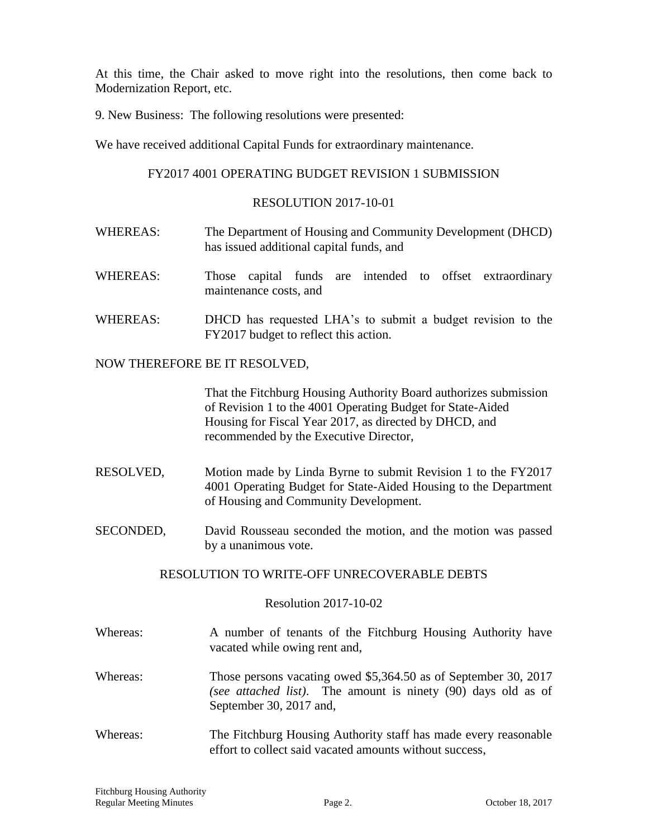At this time, the Chair asked to move right into the resolutions, then come back to Modernization Report, etc.

9. New Business: The following resolutions were presented:

We have received additional Capital Funds for extraordinary maintenance.

# FY2017 4001 OPERATING BUDGET REVISION 1 SUBMISSION

### RESOLUTION 2017-10-01

- WHEREAS: The Department of Housing and Community Development (DHCD) has issued additional capital funds, and
- WHEREAS: Those capital funds are intended to offset extraordinary maintenance costs, and
- WHEREAS: DHCD has requested LHA's to submit a budget revision to the FY2017 budget to reflect this action.

### NOW THEREFORE BE IT RESOLVED,

That the Fitchburg Housing Authority Board authorizes submission of Revision 1 to the 4001 Operating Budget for State-Aided Housing for Fiscal Year 2017, as directed by DHCD, and recommended by the Executive Director,

- RESOLVED, Motion made by Linda Byrne to submit Revision 1 to the FY2017 4001 Operating Budget for State-Aided Housing to the Department of Housing and Community Development.
- SECONDED, David Rousseau seconded the motion, and the motion was passed by a unanimous vote.

# RESOLUTION TO WRITE-OFF UNRECOVERABLE DEBTS

#### Resolution 2017-10-02

- Whereas: A number of tenants of the Fitchburg Housing Authority have vacated while owing rent and,
- Whereas: Those persons vacating owed \$5,364.50 as of September 30, 2017 *(see attached list)*. The amount is ninety (90) days old as of September 30, 2017 and,
- Whereas: The Fitchburg Housing Authority staff has made every reasonable effort to collect said vacated amounts without success,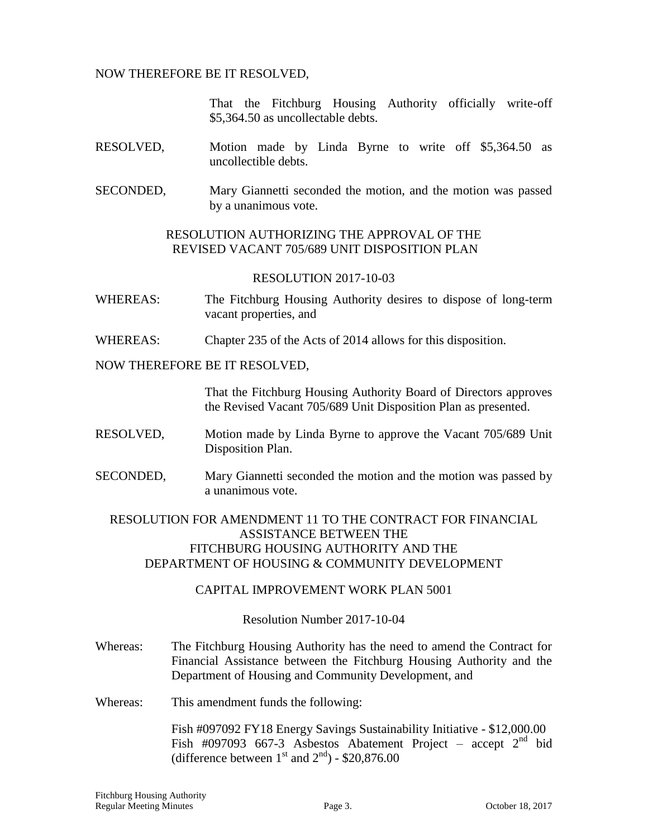NOW THEREFORE BE IT RESOLVED,

That the Fitchburg Housing Authority officially write-off \$5,364.50 as uncollectable debts.

- RESOLVED, Motion made by Linda Byrne to write off \$5,364.50 as uncollectible debts.
- SECONDED, Mary Giannetti seconded the motion, and the motion was passed by a unanimous vote.

# RESOLUTION AUTHORIZING THE APPROVAL OF THE REVISED VACANT 705/689 UNIT DISPOSITION PLAN

### RESOLUTION 2017-10-03

- WHEREAS: The Fitchburg Housing Authority desires to dispose of long-term vacant properties, and
- WHEREAS: Chapter 235 of the Acts of 2014 allows for this disposition.

### NOW THEREFORE BE IT RESOLVED,

That the Fitchburg Housing Authority Board of Directors approves the Revised Vacant 705/689 Unit Disposition Plan as presented.

- RESOLVED, Motion made by Linda Byrne to approve the Vacant 705/689 Unit Disposition Plan.
- SECONDED, Mary Giannetti seconded the motion and the motion was passed by a unanimous vote.

# RESOLUTION FOR AMENDMENT 11 TO THE CONTRACT FOR FINANCIAL ASSISTANCE BETWEEN THE FITCHBURG HOUSING AUTHORITY AND THE DEPARTMENT OF HOUSING & COMMUNITY DEVELOPMENT

# CAPITAL IMPROVEMENT WORK PLAN 5001

Resolution Number 2017-10-04

- Whereas: The Fitchburg Housing Authority has the need to amend the Contract for Financial Assistance between the Fitchburg Housing Authority and the Department of Housing and Community Development, and
- Whereas: This amendment funds the following:

Fish #097092 FY18 Energy Savings Sustainability Initiative - \$12,000.00 Fish #097093 667-3 Asbestos Abatement Project – accept 2<sup>nd</sup> bid (difference between  $1^{\text{st}}$  and  $2^{\text{nd}}$ ) - \$20,876.00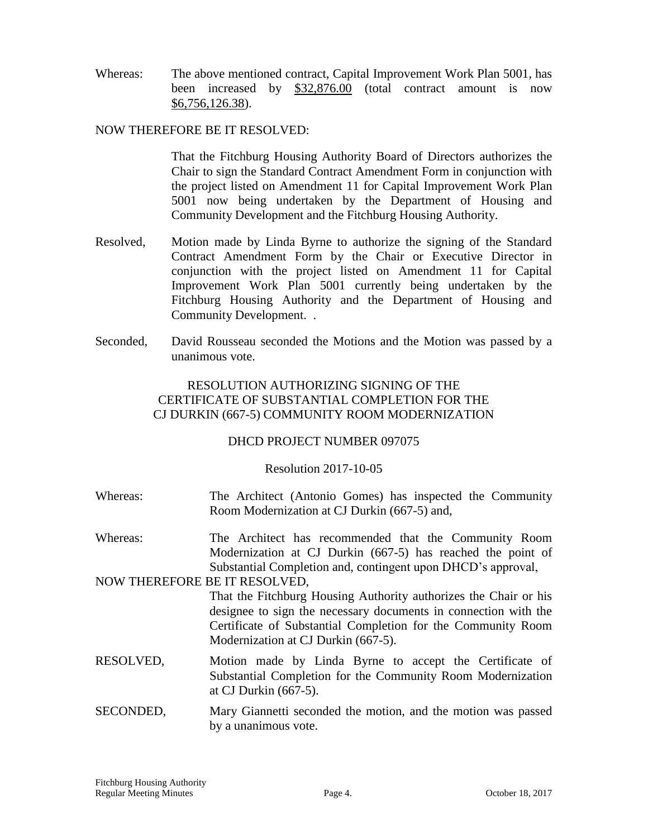Whereas: The above mentioned contract, Capital Improvement Work Plan 5001, has been increased by \$32,876.00 (total contract amount is now \$6,756,126.38).

### NOW THEREFORE BE IT RESOLVED:

That the Fitchburg Housing Authority Board of Directors authorizes the Chair to sign the Standard Contract Amendment Form in conjunction with the project listed on Amendment 11 for Capital Improvement Work Plan 5001 now being undertaken by the Department of Housing and Community Development and the Fitchburg Housing Authority.

- Resolved, Motion made by Linda Byrne to authorize the signing of the Standard Contract Amendment Form by the Chair or Executive Director in conjunction with the project listed on Amendment 11 for Capital Improvement Work Plan 5001 currently being undertaken by the Fitchburg Housing Authority and the Department of Housing and Community Development. .
- Seconded, David Rousseau seconded the Motions and the Motion was passed by a unanimous vote.

# RESOLUTION AUTHORIZING SIGNING OF THE CERTIFICATE OF SUBSTANTIAL COMPLETION FOR THE CJ DURKIN (667-5) COMMUNITY ROOM MODERNIZATION

# DHCD PROJECT NUMBER 097075

# Resolution 2017-10-05

- Whereas: The Architect (Antonio Gomes) has inspected the Community Room Modernization at CJ Durkin (667-5) and,
- Whereas: The Architect has recommended that the Community Room Modernization at CJ Durkin (667-5) has reached the point of Substantial Completion and, contingent upon DHCD's approval,

#### NOW THEREFORE BE IT RESOLVED,

That the Fitchburg Housing Authority authorizes the Chair or his designee to sign the necessary documents in connection with the Certificate of Substantial Completion for the Community Room Modernization at CJ Durkin (667-5).

- RESOLVED, Motion made by Linda Byrne to accept the Certificate of Substantial Completion for the Community Room Modernization at CJ Durkin (667-5).
- SECONDED, Mary Giannetti seconded the motion, and the motion was passed by a unanimous vote.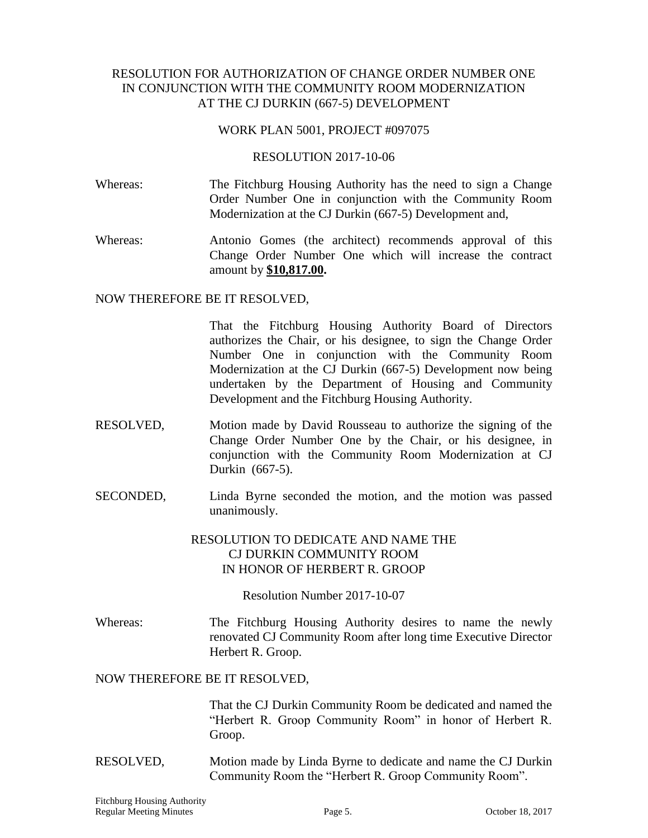# RESOLUTION FOR AUTHORIZATION OF CHANGE ORDER NUMBER ONE IN CONJUNCTION WITH THE COMMUNITY ROOM MODERNIZATION AT THE CJ DURKIN (667-5) DEVELOPMENT

### WORK PLAN 5001, PROJECT #097075

### RESOLUTION 2017-10-06

- Whereas: The Fitchburg Housing Authority has the need to sign a Change Order Number One in conjunction with the Community Room Modernization at the CJ Durkin (667-5) Development and,
- Whereas: Antonio Gomes (the architect) recommends approval of this Change Order Number One which will increase the contract amount by **\$10,817.00.**

### NOW THEREFORE BE IT RESOLVED,

That the Fitchburg Housing Authority Board of Directors authorizes the Chair, or his designee, to sign the Change Order Number One in conjunction with the Community Room Modernization at the CJ Durkin (667-5) Development now being undertaken by the Department of Housing and Community Development and the Fitchburg Housing Authority.

- RESOLVED, Motion made by David Rousseau to authorize the signing of the Change Order Number One by the Chair, or his designee, in conjunction with the Community Room Modernization at CJ Durkin (667-5).
- SECONDED, Linda Byrne seconded the motion, and the motion was passed unanimously.

# RESOLUTION TO DEDICATE AND NAME THE CJ DURKIN COMMUNITY ROOM IN HONOR OF HERBERT R. GROOP

Resolution Number 2017-10-07

Whereas: The Fitchburg Housing Authority desires to name the newly renovated CJ Community Room after long time Executive Director Herbert R. Groop.

# NOW THEREFORE BE IT RESOLVED,

That the CJ Durkin Community Room be dedicated and named the "Herbert R. Groop Community Room" in honor of Herbert R. Groop.

RESOLVED, Motion made by Linda Byrne to dedicate and name the CJ Durkin Community Room the "Herbert R. Groop Community Room".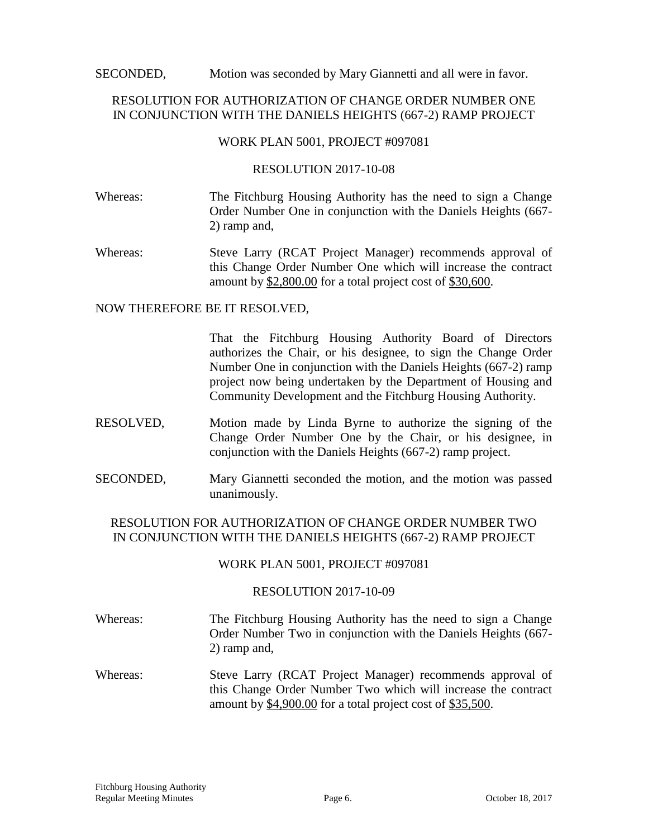SECONDED, Motion was seconded by Mary Giannetti and all were in favor.

# RESOLUTION FOR AUTHORIZATION OF CHANGE ORDER NUMBER ONE IN CONJUNCTION WITH THE DANIELS HEIGHTS (667-2) RAMP PROJECT

### WORK PLAN 5001, PROJECT #097081

### RESOLUTION 2017-10-08

- Whereas: The Fitchburg Housing Authority has the need to sign a Change Order Number One in conjunction with the Daniels Heights (667- 2) ramp and,
- Whereas: Steve Larry (RCAT Project Manager) recommends approval of this Change Order Number One which will increase the contract amount by \$2,800.00 for a total project cost of \$30,600.

### NOW THEREFORE BE IT RESOLVED,

That the Fitchburg Housing Authority Board of Directors authorizes the Chair, or his designee, to sign the Change Order Number One in conjunction with the Daniels Heights (667-2) ramp project now being undertaken by the Department of Housing and Community Development and the Fitchburg Housing Authority.

- RESOLVED, Motion made by Linda Byrne to authorize the signing of the Change Order Number One by the Chair, or his designee, in conjunction with the Daniels Heights (667-2) ramp project.
- SECONDED, Mary Giannetti seconded the motion, and the motion was passed unanimously.

# RESOLUTION FOR AUTHORIZATION OF CHANGE ORDER NUMBER TWO IN CONJUNCTION WITH THE DANIELS HEIGHTS (667-2) RAMP PROJECT

# WORK PLAN 5001, PROJECT #097081

# RESOLUTION 2017-10-09

- Whereas: The Fitchburg Housing Authority has the need to sign a Change Order Number Two in conjunction with the Daniels Heights (667- 2) ramp and,
- Whereas: Steve Larry (RCAT Project Manager) recommends approval of this Change Order Number Two which will increase the contract amount by \$4,900.00 for a total project cost of \$35,500.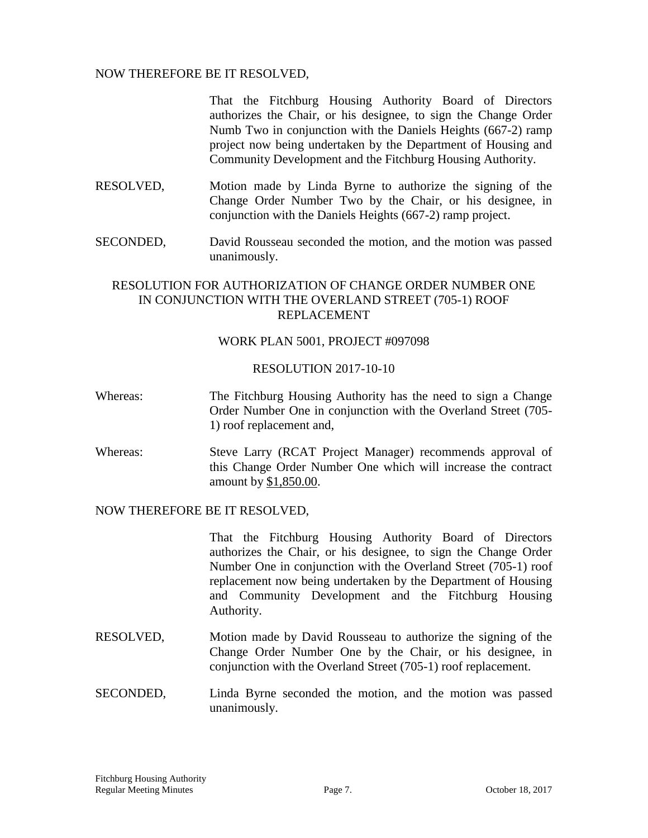### NOW THEREFORE BE IT RESOLVED,

That the Fitchburg Housing Authority Board of Directors authorizes the Chair, or his designee, to sign the Change Order Numb Two in conjunction with the Daniels Heights (667-2) ramp project now being undertaken by the Department of Housing and Community Development and the Fitchburg Housing Authority.

- RESOLVED, Motion made by Linda Byrne to authorize the signing of the Change Order Number Two by the Chair, or his designee, in conjunction with the Daniels Heights (667-2) ramp project.
- SECONDED, David Rousseau seconded the motion, and the motion was passed unanimously.

# RESOLUTION FOR AUTHORIZATION OF CHANGE ORDER NUMBER ONE IN CONJUNCTION WITH THE OVERLAND STREET (705-1) ROOF REPLACEMENT

#### WORK PLAN 5001, PROJECT #097098

### RESOLUTION 2017-10-10

- Whereas: The Fitchburg Housing Authority has the need to sign a Change Order Number One in conjunction with the Overland Street (705- 1) roof replacement and,
- Whereas: Steve Larry (RCAT Project Manager) recommends approval of this Change Order Number One which will increase the contract amount by \$1,850.00.

### NOW THEREFORE BE IT RESOLVED,

That the Fitchburg Housing Authority Board of Directors authorizes the Chair, or his designee, to sign the Change Order Number One in conjunction with the Overland Street (705-1) roof replacement now being undertaken by the Department of Housing and Community Development and the Fitchburg Housing Authority.

- RESOLVED, Motion made by David Rousseau to authorize the signing of the Change Order Number One by the Chair, or his designee, in conjunction with the Overland Street (705-1) roof replacement.
- SECONDED, Linda Byrne seconded the motion, and the motion was passed unanimously.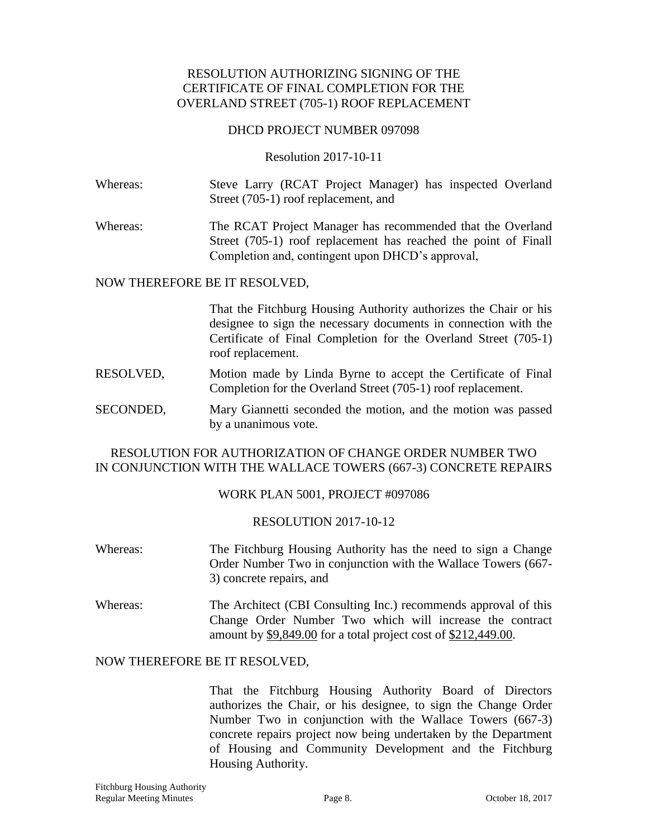# RESOLUTION AUTHORIZING SIGNING OF THE CERTIFICATE OF FINAL COMPLETION FOR THE OVERLAND STREET (705-1) ROOF REPLACEMENT

### DHCD PROJECT NUMBER 097098

### Resolution 2017-10-11

Whereas: Steve Larry (RCAT Project Manager) has inspected Overland Street (705-1) roof replacement, and

Whereas: The RCAT Project Manager has recommended that the Overland Street (705-1) roof replacement has reached the point of Finall Completion and, contingent upon DHCD's approval,

### NOW THEREFORE BE IT RESOLVED,

That the Fitchburg Housing Authority authorizes the Chair or his designee to sign the necessary documents in connection with the Certificate of Final Completion for the Overland Street (705-1) roof replacement.

- RESOLVED, Motion made by Linda Byrne to accept the Certificate of Final Completion for the Overland Street (705-1) roof replacement.
- SECONDED, Mary Giannetti seconded the motion, and the motion was passed by a unanimous vote.

# RESOLUTION FOR AUTHORIZATION OF CHANGE ORDER NUMBER TWO IN CONJUNCTION WITH THE WALLACE TOWERS (667-3) CONCRETE REPAIRS

# WORK PLAN 5001, PROJECT #097086

# RESOLUTION 2017-10-12

- Whereas: The Fitchburg Housing Authority has the need to sign a Change Order Number Two in conjunction with the Wallace Towers (667- 3) concrete repairs, and
- Whereas: The Architect (CBI Consulting Inc.) recommends approval of this Change Order Number Two which will increase the contract amount by \$9,849.00 for a total project cost of \$212,449.00.

# NOW THEREFORE BE IT RESOLVED,

That the Fitchburg Housing Authority Board of Directors authorizes the Chair, or his designee, to sign the Change Order Number Two in conjunction with the Wallace Towers (667-3) concrete repairs project now being undertaken by the Department of Housing and Community Development and the Fitchburg Housing Authority.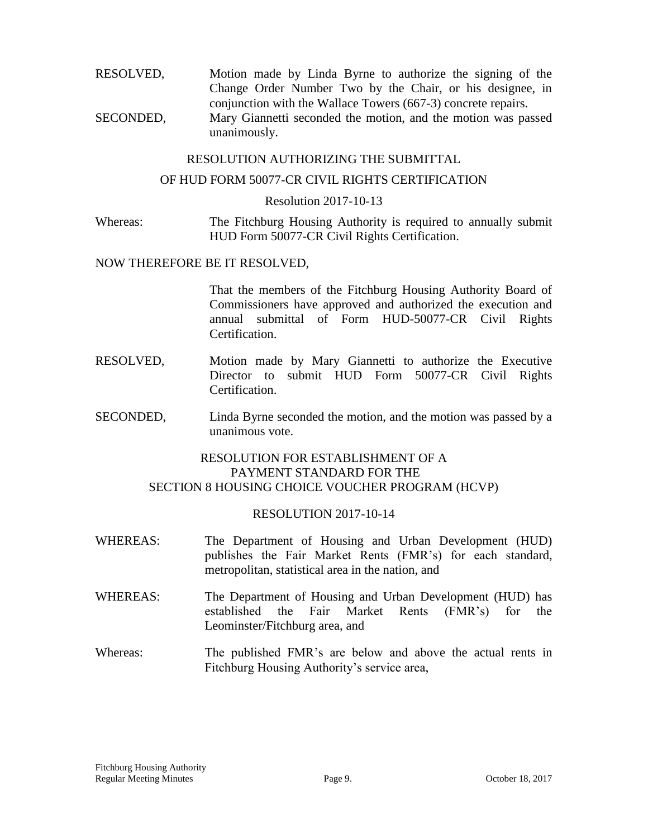RESOLVED, Motion made by Linda Byrne to authorize the signing of the Change Order Number Two by the Chair, or his designee, in conjunction with the Wallace Towers (667-3) concrete repairs. SECONDED, Mary Giannetti seconded the motion, and the motion was passed unanimously.

### RESOLUTION AUTHORIZING THE SUBMITTAL

### OF HUD FORM 50077-CR CIVIL RIGHTS CERTIFICATION

#### Resolution 2017-10-13

Whereas: The Fitchburg Housing Authority is required to annually submit HUD Form 50077-CR Civil Rights Certification.

#### NOW THEREFORE BE IT RESOLVED,

That the members of the Fitchburg Housing Authority Board of Commissioners have approved and authorized the execution and annual submittal of Form HUD-50077-CR Civil Rights Certification.

- RESOLVED, Motion made by Mary Giannetti to authorize the Executive Director to submit HUD Form 50077-CR Civil Rights Certification.
- SECONDED, Linda Byrne seconded the motion, and the motion was passed by a unanimous vote.

# RESOLUTION FOR ESTABLISHMENT OF A PAYMENT STANDARD FOR THE SECTION 8 HOUSING CHOICE VOUCHER PROGRAM (HCVP)

#### RESOLUTION 2017-10-14

- WHEREAS: The Department of Housing and Urban Development (HUD) publishes the Fair Market Rents (FMR's) for each standard, metropolitan, statistical area in the nation, and
- WHEREAS: The Department of Housing and Urban Development (HUD) has established the Fair Market Rents (FMR's) for the Leominster/Fitchburg area, and
- Whereas: The published FMR's are below and above the actual rents in Fitchburg Housing Authority's service area,